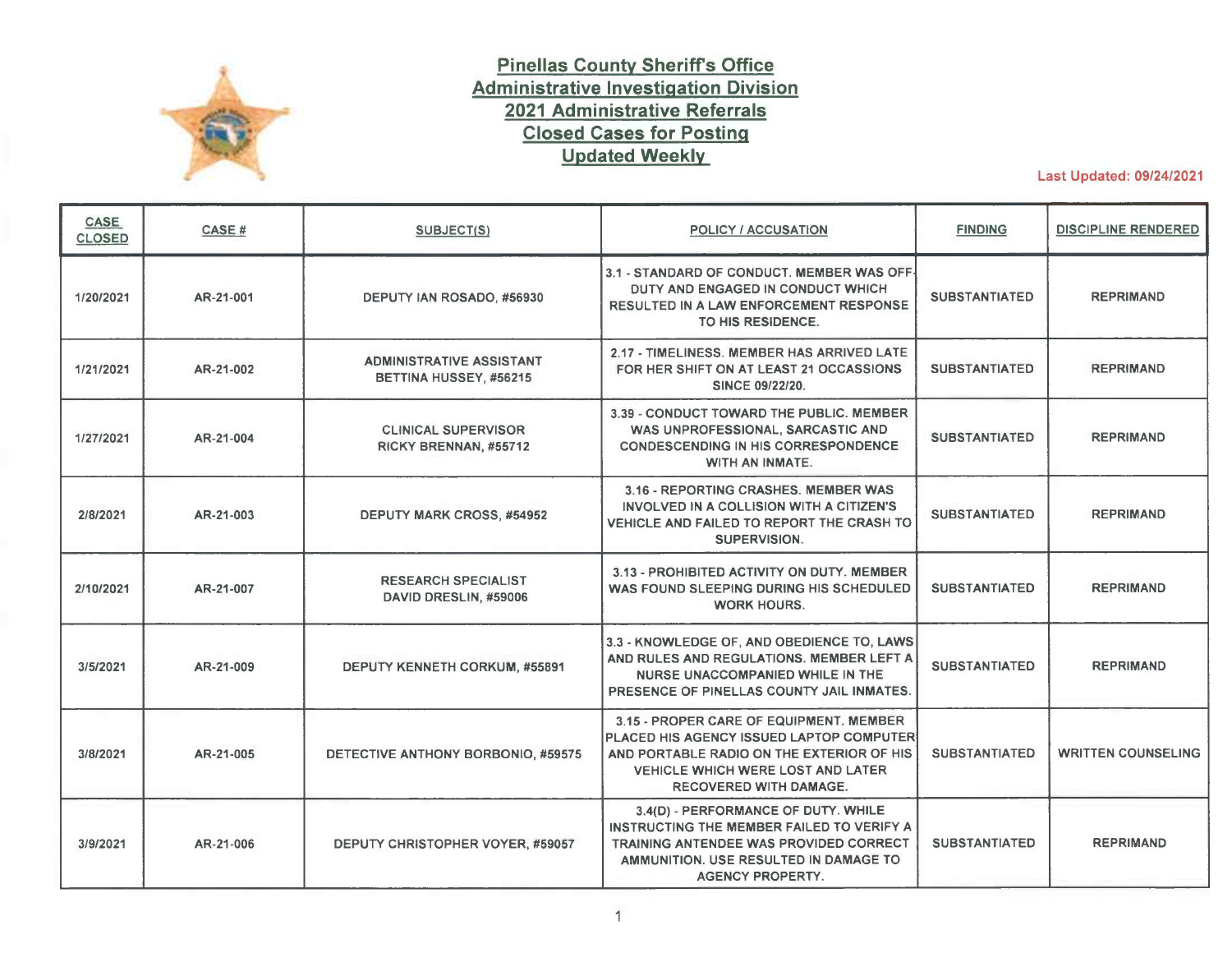

## **Pinellas County Sheriffs Office Administrative Investigation Division 2021 Administrative Referrals Closed Cases for Posting Updated Weekly**

Last Updated: 09/24/2021

| <b>CASE</b><br><b>CLOSED</b> | CASE #    | <b>SUBJECT(S)</b>                                         | <b>POLICY / ACCUSATION</b>                                                                                                                                                                                    | <b>FINDING</b>       | <b>DISCIPLINE RENDERED</b> |
|------------------------------|-----------|-----------------------------------------------------------|---------------------------------------------------------------------------------------------------------------------------------------------------------------------------------------------------------------|----------------------|----------------------------|
| 1/20/2021                    | AR-21-001 | DEPUTY IAN ROSADO, #56930                                 | 3.1 - STANDARD OF CONDUCT. MEMBER WAS OFF-<br>DUTY AND ENGAGED IN CONDUCT WHICH<br>RESULTED IN A LAW ENFORCEMENT RESPONSE<br>TO HIS RESIDENCE.                                                                | <b>SUBSTANTIATED</b> | <b>REPRIMAND</b>           |
| 1/21/2021                    | AR-21-002 | <b>ADMINISTRATIVE ASSISTANT</b><br>BETTINA HUSSEY, #56215 | 2.17 - TIMELINESS, MEMBER HAS ARRIVED LATE<br>FOR HER SHIFT ON AT LEAST 21 OCCASSIONS<br><b>SINCE 09/22/20.</b>                                                                                               | <b>SUBSTANTIATED</b> | <b>REPRIMAND</b>           |
| 1/27/2021                    | AR-21-004 | <b>CLINICAL SUPERVISOR</b><br>RICKY BRENNAN, #55712       | 3.39 - CONDUCT TOWARD THE PUBLIC. MEMBER<br>WAS UNPROFESSIONAL, SARCASTIC AND<br><b>CONDESCENDING IN HIS CORRESPONDENCE</b><br><b>WITH AN INMATE.</b>                                                         | <b>SUBSTANTIATED</b> | <b>REPRIMAND</b>           |
| 2/8/2021                     | AR-21-003 | <b>DEPUTY MARK CROSS, #54952</b>                          | 3.16 - REPORTING CRASHES. MEMBER WAS<br>INVOLVED IN A COLLISION WITH A CITIZEN'S<br>VEHICLE AND FAILED TO REPORT THE CRASH TO<br>SUPERVISION.                                                                 | <b>SUBSTANTIATED</b> | <b>REPRIMAND</b>           |
| 2/10/2021                    | AR-21-007 | <b>RESEARCH SPECIALIST</b><br>DAVID DRESLIN, #59006       | 3.13 - PROHIBITED ACTIVITY ON DUTY. MEMBER<br>WAS FOUND SLEEPING DURING HIS SCHEDULED<br><b>WORK HOURS.</b>                                                                                                   | <b>SUBSTANTIATED</b> | <b>REPRIMAND</b>           |
| 3/5/2021                     | AR-21-009 | DEPUTY KENNETH CORKUM, #55891                             | 3.3 - KNOWLEDGE OF, AND OBEDIENCE TO, LAWS<br>AND RULES AND REGULATIONS. MEMBER LEFT A<br>NURSE UNACCOMPANIED WHILE IN THE<br>PRESENCE OF PINELLAS COUNTY JAIL INMATES.                                       | <b>SUBSTANTIATED</b> | <b>REPRIMAND</b>           |
| 3/8/2021                     | AR-21-005 | DETECTIVE ANTHONY BORBONIO, #59575                        | 3.15 - PROPER CARE OF EQUIPMENT. MEMBER<br>PLACED HIS AGENCY ISSUED LAPTOP COMPUTER<br>AND PORTABLE RADIO ON THE EXTERIOR OF HIS<br><b>VEHICLE WHICH WERE LOST AND LATER</b><br><b>RECOVERED WITH DAMAGE.</b> | <b>SUBSTANTIATED</b> | <b>WRITTEN COUNSELING</b>  |
| 3/9/2021                     | AR-21-006 | DEPUTY CHRISTOPHER VOYER, #59057                          | 3.4(D) - PERFORMANCE OF DUTY. WHILE<br>INSTRUCTING THE MEMBER FAILED TO VERIFY A<br><b>TRAINING ANTENDEE WAS PROVIDED CORRECT</b><br>AMMUNITION. USE RESULTED IN DAMAGE TO<br><b>AGENCY PROPERTY.</b>         | <b>SUBSTANTIATED</b> | <b>REPRIMAND</b>           |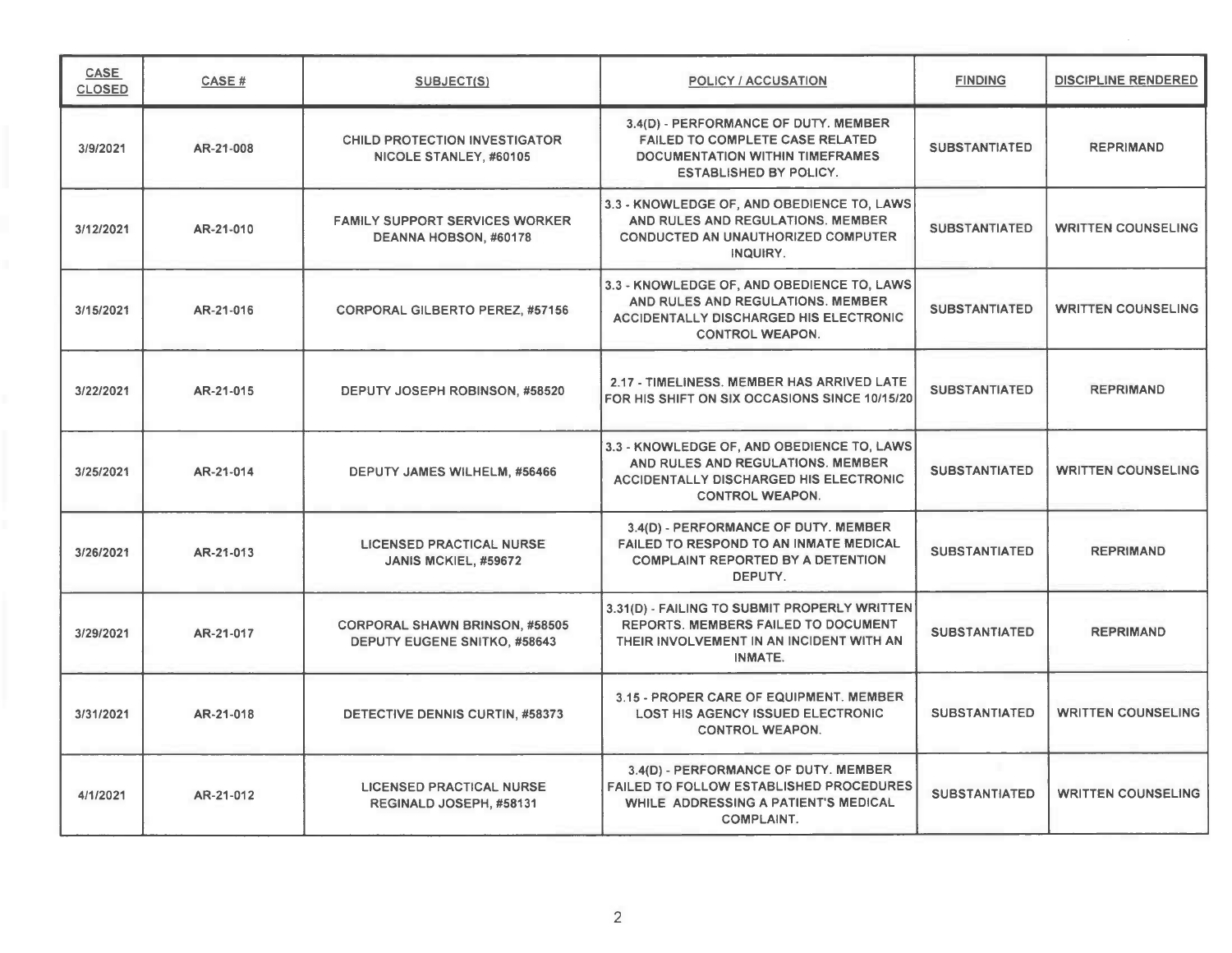| <b>CASE</b><br><b>CLOSED</b> | CASE#     | <b>SUBJECT(S)</b>                                                            | <b>POLICY / ACCUSATION</b>                                                                                                                                 | <b>FINDING</b>       | <b>DISCIPLINE RENDERED</b> |
|------------------------------|-----------|------------------------------------------------------------------------------|------------------------------------------------------------------------------------------------------------------------------------------------------------|----------------------|----------------------------|
| 3/9/2021                     | AR-21-008 | <b>CHILD PROTECTION INVESTIGATOR</b><br>NICOLE STANLEY, #60105               | 3.4(D) - PERFORMANCE OF DUTY. MEMBER<br><b>FAILED TO COMPLETE CASE RELATED</b><br><b>DOCUMENTATION WITHIN TIMEFRAMES</b><br><b>ESTABLISHED BY POLICY.</b>  | <b>SUBSTANTIATED</b> | <b>REPRIMAND</b>           |
| 3/12/2021                    | AR-21-010 | <b>FAMILY SUPPORT SERVICES WORKER</b><br>DEANNA HOBSON, #60178               | 3.3 - KNOWLEDGE OF, AND OBEDIENCE TO, LAWS<br>AND RULES AND REGULATIONS. MEMBER<br>CONDUCTED AN UNAUTHORIZED COMPUTER<br>INQUIRY.                          | <b>SUBSTANTIATED</b> | <b>WRITTEN COUNSELING</b>  |
| 3/15/2021                    | AR-21-016 | <b>CORPORAL GILBERTO PEREZ, #57156</b>                                       | 3.3 - KNOWLEDGE OF, AND OBEDIENCE TO, LAWS<br>AND RULES AND REGULATIONS. MEMBER<br>ACCIDENTALLY DISCHARGED HIS ELECTRONIC<br><b>CONTROL WEAPON.</b>        | <b>SUBSTANTIATED</b> | <b>WRITTEN COUNSELING</b>  |
| 3/22/2021                    | AR-21-015 | DEPUTY JOSEPH ROBINSON, #58520                                               | 2.17 - TIMELINESS. MEMBER HAS ARRIVED LATE<br>FOR HIS SHIFT ON SIX OCCASIONS SINCE 10/15/20                                                                | <b>SUBSTANTIATED</b> | <b>REPRIMAND</b>           |
| 3/25/2021                    | AR-21-014 | <b>DEPUTY JAMES WILHELM, #56466</b>                                          | 3.3 - KNOWLEDGE OF, AND OBEDIENCE TO, LAWS<br>AND RULES AND REGULATIONS. MEMBER<br><b>ACCIDENTALLY DISCHARGED HIS ELECTRONIC</b><br><b>CONTROL WEAPON.</b> | <b>SUBSTANTIATED</b> | <b>WRITTEN COUNSELING</b>  |
| 3/26/2021                    | AR-21-013 | <b>LICENSED PRACTICAL NURSE</b><br>JANIS MCKIEL, #59672                      | 3.4(D) - PERFORMANCE OF DUTY. MEMBER<br><b>FAILED TO RESPOND TO AN INMATE MEDICAL</b><br><b>COMPLAINT REPORTED BY A DETENTION</b><br>DEPUTY.               | <b>SUBSTANTIATED</b> | <b>REPRIMAND</b>           |
| 3/29/2021                    | AR-21-017 | <b>CORPORAL SHAWN BRINSON, #58505</b><br><b>DEPUTY EUGENE SNITKO, #58643</b> | 3.31(D) - FAILING TO SUBMIT PROPERLY WRITTEN<br>REPORTS. MEMBERS FAILED TO DOCUMENT<br>THEIR INVOLVEMENT IN AN INCIDENT WITH AN<br>INMATE.                 | <b>SUBSTANTIATED</b> | <b>REPRIMAND</b>           |
| 3/31/2021                    | AR-21-018 | DETECTIVE DENNIS CURTIN, #58373                                              | 3.15 - PROPER CARE OF EQUIPMENT. MEMBER<br>LOST HIS AGENCY ISSUED ELECTRONIC<br><b>CONTROL WEAPON.</b>                                                     | <b>SUBSTANTIATED</b> | <b>WRITTEN COUNSELING</b>  |
| 4/1/2021                     | AR-21-012 | <b>LICENSED PRACTICAL NURSE</b><br>REGINALD JOSEPH, #58131                   | 3.4(D) - PERFORMANCE OF DUTY. MEMBER<br><b>FAILED TO FOLLOW ESTABLISHED PROCEDURES</b><br>WHILE ADDRESSING A PATIENT'S MEDICAL<br><b>COMPLAINT.</b>        | <b>SUBSTANTIATED</b> | <b>WRITTEN COUNSELING</b>  |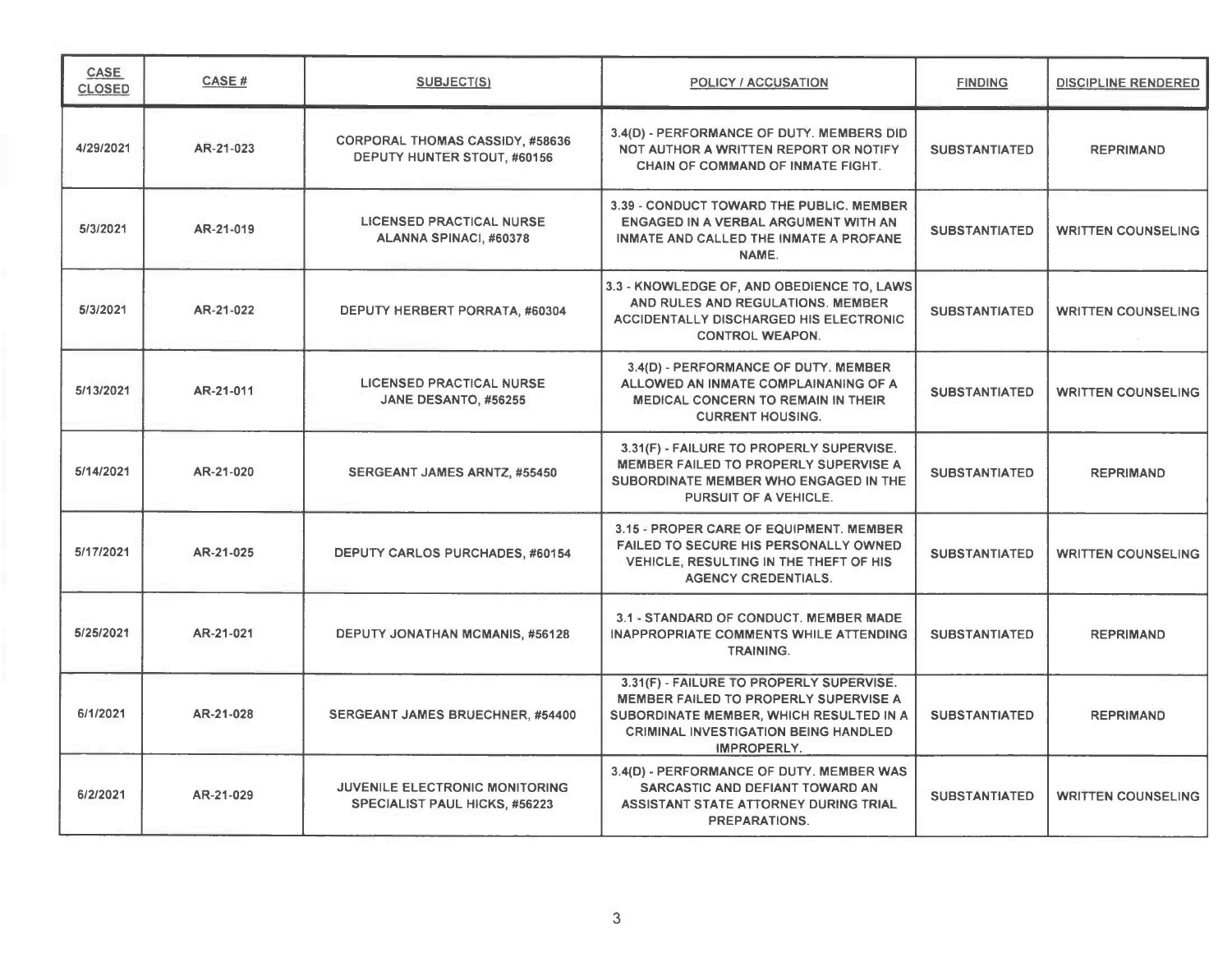| CASE<br><b>CLOSED</b> | <b>CASE#</b> | SUBJECT(S)                                                                    | <b>POLICY / ACCUSATION</b>                                                                                                                                                                 | <b>FINDING</b>       | <b>DISCIPLINE RENDERED</b> |
|-----------------------|--------------|-------------------------------------------------------------------------------|--------------------------------------------------------------------------------------------------------------------------------------------------------------------------------------------|----------------------|----------------------------|
| 4/29/2021             | AR-21-023    | CORPORAL THOMAS CASSIDY, #58636<br>DEPUTY HUNTER STOUT, #60156                | 3.4(D) - PERFORMANCE OF DUTY. MEMBERS DID<br>NOT AUTHOR A WRITTEN REPORT OR NOTIFY<br>CHAIN OF COMMAND OF INMATE FIGHT.                                                                    | <b>SUBSTANTIATED</b> | <b>REPRIMAND</b>           |
| 5/3/2021              | AR-21-019    | <b>LICENSED PRACTICAL NURSE</b><br>ALANNA SPINACI, #60378                     | 3.39 - CONDUCT TOWARD THE PUBLIC, MEMBER<br>ENGAGED IN A VERBAL ARGUMENT WITH AN<br><b>INMATE AND CALLED THE INMATE A PROFANE</b><br>NAME.                                                 | <b>SUBSTANTIATED</b> | <b>WRITTEN COUNSELING</b>  |
| 5/3/2021              | AR-21-022    | DEPUTY HERBERT PORRATA, #60304                                                | 3.3 - KNOWLEDGE OF, AND OBEDIENCE TO, LAWS<br>AND RULES AND REGULATIONS. MEMBER<br>ACCIDENTALLY DISCHARGED HIS ELECTRONIC<br><b>CONTROL WEAPON.</b>                                        | <b>SUBSTANTIATED</b> | <b>WRITTEN COUNSELING</b>  |
| 5/13/2021             | AR-21-011    | <b>LICENSED PRACTICAL NURSE</b><br>JANE DESANTO, #56255                       | 3.4(D) - PERFORMANCE OF DUTY. MEMBER<br>ALLOWED AN INMATE COMPLAINANING OF A<br><b>MEDICAL CONCERN TO REMAIN IN THEIR</b><br><b>CURRENT HOUSING.</b>                                       | <b>SUBSTANTIATED</b> | <b>WRITTEN COUNSELING</b>  |
| 5/14/2021             | AR-21-020    | SERGEANT JAMES ARNTZ, #55450                                                  | 3.31(F) - FAILURE TO PROPERLY SUPERVISE.<br>MEMBER FAILED TO PROPERLY SUPERVISE A<br>SUBORDINATE MEMBER WHO ENGAGED IN THE<br>PURSUIT OF A VEHICLE.                                        | <b>SUBSTANTIATED</b> | <b>REPRIMAND</b>           |
| 5/17/2021             | AR-21-025    | <b>DEPUTY CARLOS PURCHADES, #60154</b>                                        | 3.15 - PROPER CARE OF EQUIPMENT. MEMBER<br>FAILED TO SECURE HIS PERSONALLY OWNED<br>VEHICLE, RESULTING IN THE THEFT OF HIS<br><b>AGENCY CREDENTIALS.</b>                                   | <b>SUBSTANTIATED</b> | <b>WRITTEN COUNSELING</b>  |
| 5/25/2021             | AR-21-021    | DEPUTY JONATHAN MCMANIS, #56128                                               | 3.1 - STANDARD OF CONDUCT. MEMBER MADE<br><b>INAPPROPRIATE COMMENTS WHILE ATTENDING</b><br><b>TRAINING.</b>                                                                                | <b>SUBSTANTIATED</b> | <b>REPRIMAND</b>           |
| 6/1/2021              | AR-21-028    | SERGEANT JAMES BRUECHNER, #54400                                              | 3.31(F) - FAILURE TO PROPERLY SUPERVISE.<br>MEMBER FAILED TO PROPERLY SUPERVISE A<br>SUBORDINATE MEMBER, WHICH RESULTED IN A<br><b>CRIMINAL INVESTIGATION BEING HANDLED</b><br>IMPROPERLY. | <b>SUBSTANTIATED</b> | <b>REPRIMAND</b>           |
| 6/2/2021              | AR-21-029    | <b>JUVENILE ELECTRONIC MONITORING</b><br><b>SPECIALIST PAUL HICKS, #56223</b> | 3.4(D) - PERFORMANCE OF DUTY. MEMBER WAS<br>SARCASTIC AND DEFIANT TOWARD AN<br>ASSISTANT STATE ATTORNEY DURING TRIAL<br><b>PREPARATIONS.</b>                                               | <b>SUBSTANTIATED</b> | <b>WRITTEN COUNSELING</b>  |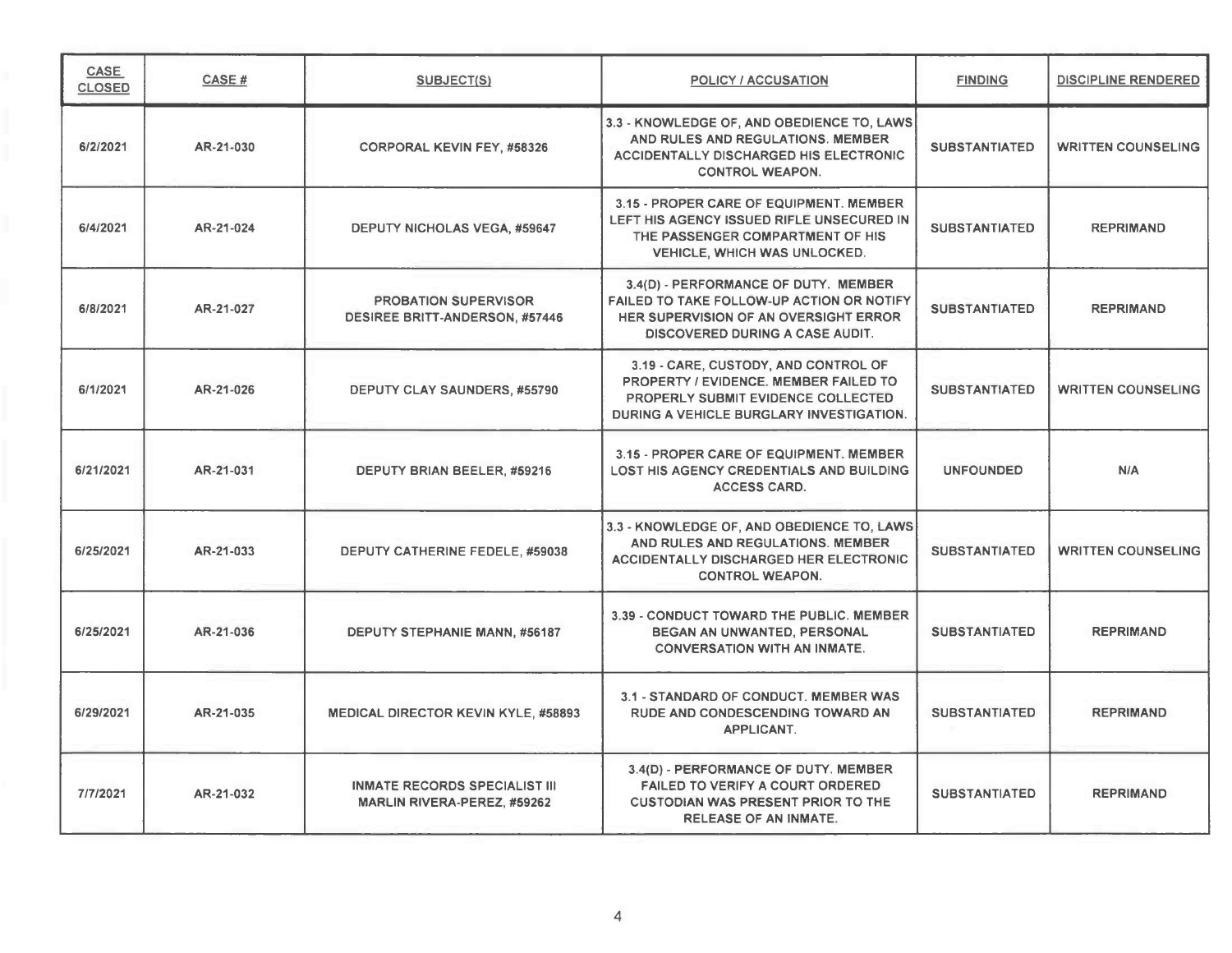| CASE<br><b>CLOSED</b> | CASE#     | <b>SUBJECT(S)</b>                                                          | POLICY / ACCUSATION                                                                                                                                             | <b>FINDING</b>       | <b>DISCIPLINE RENDERED</b> |
|-----------------------|-----------|----------------------------------------------------------------------------|-----------------------------------------------------------------------------------------------------------------------------------------------------------------|----------------------|----------------------------|
| 6/2/2021              | AR-21-030 | <b>CORPORAL KEVIN FEY, #58326</b>                                          | 3.3 - KNOWLEDGE OF, AND OBEDIENCE TO, LAWS<br>AND RULES AND REGULATIONS. MEMBER<br><b>ACCIDENTALLY DISCHARGED HIS ELECTRONIC</b><br><b>CONTROL WEAPON.</b>      | <b>SUBSTANTIATED</b> | <b>WRITTEN COUNSELING</b>  |
| 6/4/2021              | AR-21-024 | <b>DEPUTY NICHOLAS VEGA, #59647</b>                                        | 3.15 - PROPER CARE OF EQUIPMENT. MEMBER<br>LEFT HIS AGENCY ISSUED RIFLE UNSECURED IN<br>THE PASSENGER COMPARTMENT OF HIS<br><b>VEHICLE, WHICH WAS UNLOCKED.</b> | <b>SUBSTANTIATED</b> | <b>REPRIMAND</b>           |
| 6/8/2021              | AR-21-027 | <b>PROBATION SUPERVISOR</b><br><b>DESIREE BRITT-ANDERSON, #57446</b>       | 3.4(D) - PERFORMANCE OF DUTY. MEMBER<br>FAILED TO TAKE FOLLOW-UP ACTION OR NOTIFY<br>HER SUPERVISION OF AN OVERSIGHT ERROR<br>DISCOVERED DURING A CASE AUDIT.   | <b>SUBSTANTIATED</b> | <b>REPRIMAND</b>           |
| 6/1/2021              | AR-21-026 | <b>DEPUTY CLAY SAUNDERS, #55790</b>                                        | 3.19 - CARE, CUSTODY, AND CONTROL OF<br>PROPERTY / EVIDENCE, MEMBER FAILED TO<br>PROPERLY SUBMIT EVIDENCE COLLECTED<br>DURING A VEHICLE BURGLARY INVESTIGATION. | <b>SUBSTANTIATED</b> | <b>WRITTEN COUNSELING</b>  |
| 6/21/2021             | AR-21-031 | DEPUTY BRIAN BEELER, #59216                                                | 3.15 - PROPER CARE OF EQUIPMENT. MEMBER<br>LOST HIS AGENCY CREDENTIALS AND BUILDING<br><b>ACCESS CARD.</b>                                                      | <b>UNFOUNDED</b>     | N/A                        |
| 6/25/2021             | AR-21-033 | <b>DEPUTY CATHERINE FEDELE, #59038</b>                                     | 3.3 - KNOWLEDGE OF, AND OBEDIENCE TO, LAWS<br>AND RULES AND REGULATIONS. MEMBER<br>ACCIDENTALLY DISCHARGED HER ELECTRONIC<br><b>CONTROL WEAPON.</b>             | <b>SUBSTANTIATED</b> | <b>WRITTEN COUNSELING</b>  |
| 6/25/2021             | AR-21-036 | DEPUTY STEPHANIE MANN, #56187                                              | 3.39 - CONDUCT TOWARD THE PUBLIC. MEMBER<br>BEGAN AN UNWANTED, PERSONAL<br><b>CONVERSATION WITH AN INMATE.</b>                                                  | <b>SUBSTANTIATED</b> | <b>REPRIMAND</b>           |
| 6/29/2021             | AR-21-035 | <b>MEDICAL DIRECTOR KEVIN KYLE, #58893</b>                                 | 3.1 - STANDARD OF CONDUCT. MEMBER WAS<br><b>RUDE AND CONDESCENDING TOWARD AN</b><br><b>APPLICANT.</b>                                                           | <b>SUBSTANTIATED</b> | <b>REPRIMAND</b>           |
| 7/7/2021              | AR-21-032 | <b>INMATE RECORDS SPECIALIST III</b><br><b>MARLIN RIVERA-PEREZ, #59262</b> | 3.4(D) - PERFORMANCE OF DUTY. MEMBER<br><b>FAILED TO VERIFY A COURT ORDERED</b><br><b>CUSTODIAN WAS PRESENT PRIOR TO THE</b><br><b>RELEASE OF AN INMATE.</b>    | <b>SUBSTANTIATED</b> | <b>REPRIMAND</b>           |